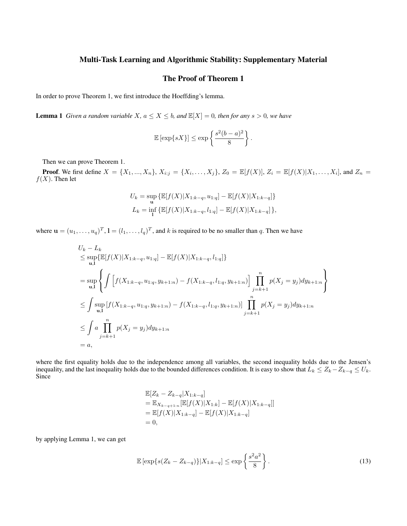## Multi-Task Learning and Algorithmic Stability: Supplementary Material

# The Proof of Theorem 1

In order to prove Theorem 1, we first introduce the Hoeffding's lemma.

**Lemma 1** *Given a random variable*  $X$ *,*  $a \le X \le b$ *, and*  $\mathbb{E}[X] = 0$ *, then for any*  $s > 0$ *, we have* 

$$
\mathbb{E}\left[\exp\{sX\}\right] \le \exp\left\{\frac{s^2(b-a)^2}{8}\right\}.
$$

Then we can prove Theorem 1.

**Proof.** We first define  $X = \{X_1, ..., X_n\}$ ,  $X_{i:j} = \{X_i, ..., X_j\}$ ,  $Z_0 = \mathbb{E}[f(X)], Z_i = \mathbb{E}[f(X)|X_1, ..., X_i]$ , and  $Z_n =$  $f(X)$ . Then let

$$
U_k = \sup_{\mathbf{u}} \{ \mathbb{E}[f(X)|X_{1:k-q}, u_{1:q}] - \mathbb{E}[f(X)|X_{1:k-q}] \}
$$
  

$$
L_k = \inf_{\mathbf{u}} \{ \mathbb{E}[f(X)|X_{1:k-q}, l_{1:q}] - \mathbb{E}[f(X)|X_{1:k-q}] \},
$$

where  $\mathbf{u} = (u_1, \dots, u_q)^T$ ,  $\mathbf{l} = (l_1, \dots, l_q)^T$ , and k is required to be no smaller than q. Then we have

$$
U_{k} - L_{k}
$$
  
\n
$$
\leq \sup_{u,1} \{ \mathbb{E}[f(X)|X_{1:k-q}, u_{1:q}] - \mathbb{E}[f(X)|X_{1:k-q}, l_{1:q}] \}
$$
  
\n
$$
= \sup_{u,1} \left\{ \int \left[ f(X_{1:k-q}, u_{1:q}, y_{k+1:n}) - f(X_{1:k-q}, l_{1:q}, y_{k+1:n}) \right] \prod_{j=k+1}^{n} p(X_{j} = y_{j}) dy_{k+1:n} \right\}
$$
  
\n
$$
\leq \int \sup_{u,1} [f(X_{1:k-q}, u_{1:q}, y_{k+1:n}) - f(X_{1:k-q}, l_{1:q}, y_{k+1:n})] \prod_{j=k+1}^{n} p(X_{j} = y_{j}) dy_{k+1:n}
$$
  
\n
$$
\leq \int a \prod_{j=k+1}^{n} p(X_{j} = y_{j}) dy_{k+1:n}
$$
  
\n
$$
= a,
$$

where the first equality holds due to the independence among all variables, the second inequality holds due to the Jensen's inequality, and the last inequality holds due to the bounded differences condition. It is easy to show that  $L_k \leq Z_k - Z_{k-q} \leq U_k$ . Since

$$
\mathbb{E}[Z_k - Z_{k-q}|X_{1:k-q}]
$$
  
=  $\mathbb{E}_{X_{k-q+1:n}}[\mathbb{E}[f(X)|X_{1:k}] - \mathbb{E}[f(X)|X_{1:k-q}]]$   
=  $\mathbb{E}[f(X)|X_{1:k-q}] - \mathbb{E}[f(X)|X_{1:k-q}]$   
= 0,

by applying Lemma 1, we can get

$$
\mathbb{E}\left[\exp\{s(Z_k - Z_{k-q})\}|X_{1:k-q}\right] \le \exp\left\{\frac{s^2a^2}{8}\right\}.
$$
\n(13)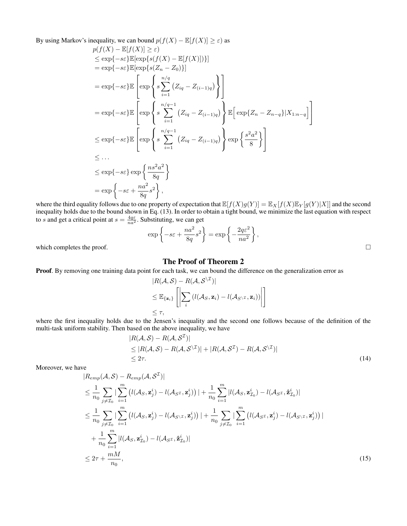By using Markov's inequality, we can bound  $p(f(X) - \mathbb{E}[f(X)] \ge \varepsilon)$  as

$$
p(f(X) - \mathbb{E}[f(X)] \geq \varepsilon)
$$
  
\n
$$
\leq \exp\{-s\varepsilon\} \mathbb{E}[\exp\{s(f(X) - \mathbb{E}[f(X)])\}]
$$
  
\n
$$
= \exp\{-s\varepsilon\} \mathbb{E}[\exp\{s(Z_n - Z_0)\}]
$$
  
\n
$$
= \exp\{-s\varepsilon\} \mathbb{E}\left[\exp\left\{s\sum_{i=1}^{n/q} (Z_{iq} - Z_{(i-1)q})\right\}\right]
$$
  
\n
$$
= \exp\{-s\varepsilon\} \mathbb{E}\left[\exp\left\{s\sum_{i=1}^{n/q-1} (Z_{iq} - Z_{(i-1)q})\right\} \mathbb{E}\left[\exp\{Z_n - Z_{n-q}\}|X_{1:n-q}\right]\right]
$$
  
\n
$$
\leq \exp\{-s\varepsilon\} \mathbb{E}\left[\exp\left\{s\sum_{i=1}^{n/q-1} (Z_{iq} - Z_{(i-1)q})\right\} \exp\left\{\frac{s^2a^2}{8}\right\}\right]
$$
  
\n
$$
\leq \dots
$$
  
\n
$$
\leq \exp\{-s\varepsilon\} \exp\left\{\frac{ns^2a^2}{8q}\right\}
$$
  
\n
$$
= \exp\left\{-s\varepsilon + \frac{na^2}{8q}s^2\right\},
$$

where the third equality follows due to one property of expectation that  $\mathbb{E}[f(X)g(Y)]=\mathbb{E}_{X}[f(X)\mathbb{E}_{Y}[g(Y)|X]]$  and the second inequality holds due to the bound shown in Eq. (13). In order to obtain a tight bound, we minimize the last equation with respect to s and get a critical point at  $s = \frac{4q\varepsilon}{na^2}$ . Substituting, we can get

$$
\exp\left\{-s\varepsilon + \frac{na^2}{8q}s^2\right\} = \exp\left\{-\frac{2q\varepsilon^2}{na^2}\right\},\,
$$

which completes the proof.  $\Box$ 

## The Proof of Theorem 2

Proof. By removing one training data point for each task, we can bound the difference on the generalization error as

$$
|R(\mathcal{A}, \mathcal{S}) - R(\mathcal{A}, \mathcal{S}^{\setminus \mathcal{I}})|
$$
  
\n
$$
\leq \mathbb{E}_{\{\mathbf{z}_i\}} \left[ \left| \sum_i (l(\mathcal{A}_{S}, \mathbf{z}_i) - l(\mathcal{A}_{S^{\setminus \mathcal{I}}}, \mathbf{z}_i)) \right| \right]
$$
  
\n
$$
\leq \tau,
$$

where the first inequality holds due to the Jensen's inequality and the second one follows because of the definition of the multi-task uniform stability. Then based on the above inequality, we have

$$
|R(\mathcal{A}, \mathcal{S}) - R(\mathcal{A}, \mathcal{S}^{\mathcal{I}})|
$$
  
\n
$$
\leq |R(\mathcal{A}, \mathcal{S}) - R(\mathcal{A}, \mathcal{S}^{\setminus \mathcal{I}})| + |R(\mathcal{A}, \mathcal{S}^{\mathcal{I}}) - R(\mathcal{A}, \mathcal{S}^{\setminus \mathcal{I}})|
$$
  
\n
$$
\leq 2\tau.
$$
 (14)

Moreover, we have

$$
|R_{emp}(\mathcal{A}, \mathcal{S}) - R_{emp}(\mathcal{A}, \mathcal{S}^{\mathcal{I}})|
$$
  
\n
$$
\leq \frac{1}{n_0} \sum_{j \neq \mathcal{I}_0} \left| \sum_{i=1}^m \left( l(\mathcal{A}_{S}, \mathbf{z}_j^i) - l(\mathcal{A}_{S^{\mathcal{I}}}, \mathbf{z}_j^i) \right) \right| + \frac{1}{n_0} \sum_{i=1}^m |l(\mathcal{A}_{S}, \mathbf{z}_{\mathcal{I}_0}^i) - l(\mathcal{A}_{S^{\mathcal{I}}}, \hat{\mathbf{z}}_{\mathcal{I}_0}^i)|
$$
  
\n
$$
\leq \frac{1}{n_0} \sum_{j \neq \mathcal{I}_0} \left| \sum_{i=1}^m \left( l(\mathcal{A}_{S}, \mathbf{z}_j^i) - l(\mathcal{A}_{S \setminus \mathcal{I}}, \mathbf{z}_j^i) \right) \right| + \frac{1}{n_0} \sum_{j \neq \mathcal{I}_0} \left| \sum_{i=1}^m \left( l(\mathcal{A}_{S^{\mathcal{I}}}, \mathbf{z}_j^i) - l(\mathcal{A}_{S \setminus \mathcal{I}}, \mathbf{z}_j^i) \right) \right|
$$
  
\n
$$
+ \frac{1}{n_0} \sum_{i=1}^m |l(\mathcal{A}_{S}, \mathbf{z}_{\mathcal{I}_0}^i) - l(\mathcal{A}_{S^{\mathcal{I}}}, \hat{\mathbf{z}}_{\mathcal{I}_0}^i)|
$$
  
\n
$$
\leq 2\tau + \frac{mM}{n_0}, \qquad (15)
$$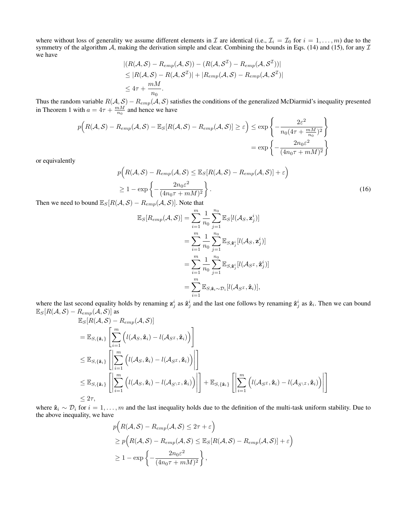where without loss of generality we assume different elements in  $\mathcal I$  are identical (i.e.,  $\mathcal I_i = \mathcal I_0$  for  $i = 1, \ldots, m$ ) due to the symmetry of the algorithm A, making the derivation simple and clear. Combining the bounds in Eqs. (14) and (15), for any  $\mathcal I$ we have

$$
|(R(\mathcal{A}, \mathcal{S}) - R_{emp}(\mathcal{A}, \mathcal{S})) - (R(\mathcal{A}, \mathcal{S}^{\mathcal{I}}) - R_{emp}(\mathcal{A}, \mathcal{S}^{\mathcal{I}}))|
$$
  
\n
$$
\leq |R(\mathcal{A}, \mathcal{S}) - R(\mathcal{A}, \mathcal{S}^{\mathcal{I}})| + |R_{emp}(\mathcal{A}, \mathcal{S}) - R_{emp}(\mathcal{A}, \mathcal{S}^{\mathcal{I}})|
$$
  
\n
$$
\leq 4\tau + \frac{mM}{n_0}.
$$

Thus the random variable  $R(A, S) - R_{emp}(A, S)$  satisfies the conditions of the generalized McDiarmid's inequality presented in Theorem 1 with  $a = 4\tau + \frac{mM}{n_0}$  and hence we have

$$
p(R(\mathcal{A}, \mathcal{S}) - R_{emp}(\mathcal{A}, \mathcal{S}) - \mathbb{E}_{\mathcal{S}}[R(\mathcal{A}, \mathcal{S}) - R_{emp}(\mathcal{A}, \mathcal{S})] \ge \varepsilon) \le \exp\left\{-\frac{2\varepsilon^2}{n_0(4\tau + \frac{mM}{n_0})^2}\right\}
$$

$$
= \exp\left\{-\frac{2n_0\varepsilon^2}{(4n_0\tau + mM)^2}\right\}
$$

or equivalently

$$
p\left(R(\mathcal{A}, \mathcal{S}) - R_{emp}(\mathcal{A}, \mathcal{S}) \le \mathbb{E}_{S}[R(\mathcal{A}, \mathcal{S}) - R_{emp}(\mathcal{A}, \mathcal{S})] + \varepsilon\right)
$$
  
\n
$$
\ge 1 - \exp\left\{-\frac{2n_0\varepsilon^2}{(4n_0\tau + mM)^2}\right\}.
$$
 (16)

Then we need to bound  $\mathbb{E}_{S}[R(\mathcal{A}, \mathcal{S}) - R_{emp}(\mathcal{A}, \mathcal{S})]$ . Note that

$$
\mathbb{E}_{S}[R_{emp}(\mathcal{A}, \mathcal{S})] = \sum_{i=1}^{m} \frac{1}{n_0} \sum_{j=1}^{n_0} \mathbb{E}_{S}[l(\mathcal{A}_{S}, \mathbf{z}_{j}^{i})]
$$
  
\n
$$
= \sum_{i=1}^{m} \frac{1}{n_0} \sum_{j=1}^{n_0} \mathbb{E}_{S, \hat{\mathbf{z}}_{j}^{i}}[l(\mathcal{A}_{S}, \mathbf{z}_{j}^{i})]
$$
  
\n
$$
= \sum_{i=1}^{m} \frac{1}{n_0} \sum_{j=1}^{n_0} \mathbb{E}_{S, \hat{\mathbf{z}}_{j}^{i}}[l(\mathcal{A}_{S^{T}}, \hat{\mathbf{z}}_{j}^{i})]
$$
  
\n
$$
= \sum_{i=1}^{m} \mathbb{E}_{S, \hat{\mathbf{z}}_{i} \sim \mathcal{D}_{i}}[l(\mathcal{A}_{S^{T}}, \hat{\mathbf{z}}_{i})],
$$

where the last second equality holds by renaming  $z_j^i$  as  $\hat{z}_j^i$  and the last one follows by renaming  $\hat{z}_j^i$  as  $\hat{z}_i$ . Then we can bound  $\mathbb{E}_{S}[R(\mathcal{A}, \mathcal{S}) - R_{emp}(\mathcal{A}, \mathcal{S})]$  as  $(A, \mathcal{O})$ 

$$
\mathbb{E}_{S}[R(\mathcal{A}, S) - R_{emp}(\mathcal{A}, S)]
$$
\n
$$
= \mathbb{E}_{S, {\{\hat{\mathbf{z}}}_{i}\}} \left[ \sum_{i=1}^{m} \left( l(\mathcal{A}_{S}, \hat{\mathbf{z}}_{i}) - l(\mathcal{A}_{S^{\mathcal{I}}}, \hat{\mathbf{z}}_{i}) \right) \right]
$$
\n
$$
\leq \mathbb{E}_{S, {\{\hat{\mathbf{z}}}_{i}\}} \left[ \left| \sum_{i=1}^{m} \left( l(\mathcal{A}_{S}, \hat{\mathbf{z}}_{i}) - l(\mathcal{A}_{S^{\mathcal{I}}}, \hat{\mathbf{z}}_{i}) \right) \right| \right]
$$
\n
$$
\leq \mathbb{E}_{S, {\{\hat{\mathbf{z}}}_{i}\}} \left[ \left| \sum_{i=1}^{m} \left( l(\mathcal{A}_{S}, \hat{\mathbf{z}}_{i}) - l(\mathcal{A}_{S^{\backslash \mathcal{I}}}, \hat{\mathbf{z}}_{i}) \right) \right| \right] + \mathbb{E}_{S, {\{\hat{\mathbf{z}}}_{i}\}} \left[ \left| \sum_{i=1}^{m} \left( l(\mathcal{A}_{S^{\mathcal{I}}}, \hat{\mathbf{z}}_{i}) - l(\mathcal{A}_{S^{\backslash \mathcal{I}}}, \hat{\mathbf{z}}_{i}) \right) \right| \right]
$$
\n
$$
\leq 2\tau,
$$

where  $\hat{\mathbf{z}}_i \sim \mathcal{D}_i$  for  $i = 1, \ldots, m$  and the last inequality holds due to the definition of the multi-task uniform stability. Due to the above inequality, we have

$$
p(R(A, S) - R_{emp}(A, S) \le 2\tau + \varepsilon)
$$
  
\n
$$
\ge p(R(A, S) - R_{emp}(A, S) \le \mathbb{E}_{S}[R(A, S) - R_{emp}(A, S)] + \varepsilon)
$$
  
\n
$$
\ge 1 - \exp\left\{-\frac{2n_0\varepsilon^2}{(4n_0\tau + mM)^2}\right\},
$$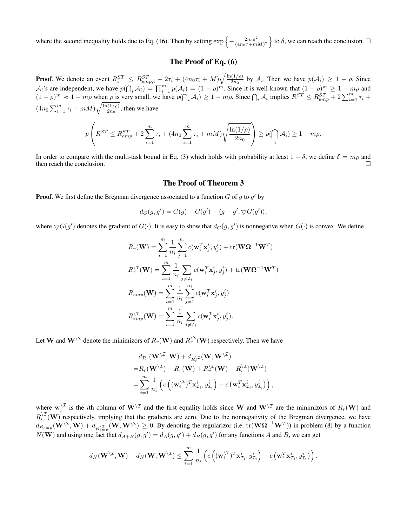where the second inequality holds due to Eq. (16). Then by setting  $\exp \left\{-\frac{2n_0 \varepsilon^2}{(4n_0 \varepsilon + m)}\right\}$  $\left(\frac{2n_0\varepsilon^2}{(4n_0\tau+mM)^2}\right\}$  to  $\delta$ , we can reach the conclusion.  $\square$ 

## The Proof of Eq. (6)

**Proof.** We denote an event  $R_i^{ST} \leq R_{emp,i}^{ST} + 2\tau_i + (4n_0\tau_i + M)\sqrt{\frac{\ln(1/\rho)}{2n_0}}$  $\frac{(1/\rho)}{2n_0}$  by  $\mathcal{A}_i$ . Then we have  $p(\mathcal{A}_i) \geq 1 - \rho$ . Since  $\mathcal{A}_i$ 's are independent, we have  $p(\bigcap_i \mathcal{A}_i) = \prod_{i=1}^m p(\mathcal{A}_i) = (1 - \rho)^m$ . Since it is well-known that  $(1 - \rho)^m \ge 1 - m\rho$  and  $(1 - \rho)^m \approx 1 - m\rho$  when  $\rho$  is very small, we have  $p(\bigcap_i A_i) \ge 1 - m\rho$ . Since  $\bigcap_i A_i$  implies  $R^{ST} \le R_{emp}^{ST} + 2\sum_{i=1}^m \tau_i$  +  $(4n_0 \sum_{i=1}^m \tau_i + mM) \sqrt{\frac{\ln(1/\rho)}{2n_0}}$  $\frac{(1/\rho)}{2n_0}$ , then we have

$$
p\left(R^{ST} \le R_{emp}^{ST} + 2\sum_{i=1}^{m} \tau_i + (4n_0 \sum_{i=1}^{m} \tau_i + mM)\sqrt{\frac{\ln(1/\rho)}{2n_0}}\right) \ge p(\bigcap_i \mathcal{A}_i) \ge 1 - m\rho.
$$

In order to compare with the multi-task bound in Eq. (3) which holds with probability at least  $1 - \delta$ , we define  $\delta = m\rho$  and then reach the conclusion.  $\Box$ 

#### The Proof of Theorem 3

**Proof.** We first define the Bregman divergence associated to a function  $G$  of  $g$  to  $g'$  by

$$
d_G(g,g') = G(g) - G(g') - \langle g - g', \nabla G(g') \rangle,
$$

where  $\bigtriangledown G(g')$  denotes the gradient of  $G(\cdot)$ . It is easy to show that  $d_G(g, g')$  is nonnegative when  $G(\cdot)$  is convex. We define

$$
R_r(\mathbf{W}) = \sum_{i=1}^m \frac{1}{n_i} \sum_{j=1}^{n_i} c(\mathbf{w}_i^T \mathbf{x}_j^i, y_j^i) + \text{tr}(\mathbf{W}\Omega^{-1}\mathbf{W}^T)
$$
  
\n
$$
R_r^{\setminus \mathcal{I}}(\mathbf{W}) = \sum_{i=1}^m \frac{1}{n_i} \sum_{j \neq \mathcal{I}_i} c(\mathbf{w}_i^T \mathbf{x}_j^i, y_j^i) + \text{tr}(\mathbf{W}\Omega^{-1}\mathbf{W}^T)
$$
  
\n
$$
R_{emp}(\mathbf{W}) = \sum_{i=1}^m \frac{1}{n_i} \sum_{j=1}^{n_i} c(\mathbf{w}_i^T \mathbf{x}_j^i, y_j^i)
$$
  
\n
$$
R_{emp}^{\setminus \mathcal{I}}(\mathbf{W}) = \sum_{i=1}^m \frac{1}{n_i} \sum_{j \neq \mathcal{I}_i} c(\mathbf{w}_i^T \mathbf{x}_j^i, y_j^i).
$$

Let W and  $W^{\setminus \mathcal{I}}$  denote the minimizors of  $R_r(W)$  and  $R_r^{\setminus \mathcal{I}}(W)$  respectively. Then we have

$$
d_{R_r}(\mathbf{W}^{\setminus \mathcal{I}}, \mathbf{W}) + d_{R_r^{\setminus \mathcal{I}}}(\mathbf{W}, \mathbf{W}^{\setminus \mathcal{I}})
$$
  
=  $R_r(\mathbf{W}^{\setminus \mathcal{I}}) - R_r(\mathbf{W}) + R_r^{\setminus \mathcal{I}}(\mathbf{W}) - R_r^{\setminus \mathcal{I}}(\mathbf{W}^{\setminus \mathcal{I}})$   
=  $\sum_{i=1}^m \frac{1}{n_i} \left( c\left( (\mathbf{w}_i^{\setminus \mathcal{I}})^T \mathbf{x}_{\mathcal{I}_i}^i, y_{\mathcal{I}_i}^i \right) - c\left( \mathbf{w}_i^T \mathbf{x}_{\mathcal{I}_i}^i, y_{\mathcal{I}_i}^i \right) \right),$ 

where  $\mathbf{w}_i^{\setminus \mathcal{I}}$  $\lambda_i^{\perp}$  is the *i*th column of  $W^{\setminus \mathcal{I}}$  and the first equality holds since W and  $W^{\setminus \mathcal{I}}$  are the minimizors of  $R_r(W)$  and  $R_r^{\setminus \mathcal{I}}(\mathbf{W})$  respectively, implying that the gradients are zero. Due to the nonnegativity of the Bregman divergence, we have  $d_{R_{emp}}(\mathbf{W}^{T}, \mathbf{W}) + d_{R_{emp}^{\setminus \mathcal{I}}}(\mathbf{W}, \mathbf{W}^{T}) \ge 0$ . By denoting the regularizor (i.e. tr $(\mathbf{W}\Omega^{-1}\mathbf{W}^{T})$ ) in problem (8) by a function  $N(\mathbf{W})$  and using one fact that  $d_{A+B}(g,g') = d_A(g,g') + d_B(g,g')$  for any functions A and B, we can get

$$
d_N(\mathbf{W}^{\setminus \mathcal{I}}, \mathbf{W}) + d_N(\mathbf{W}, \mathbf{W}^{\setminus \mathcal{I}}) \leq \sum_{i=1}^m \frac{1}{n_i} \left( c\left( (\mathbf{w}_i^{\setminus \mathcal{I}})^T \mathbf{x}_{\mathcal{I}_i}^i, y_{\mathcal{I}_i}^i \right) - c\left( \mathbf{w}_i^T \mathbf{x}_{\mathcal{I}_i}^i, y_{\mathcal{I}_i}^i \right) \right).
$$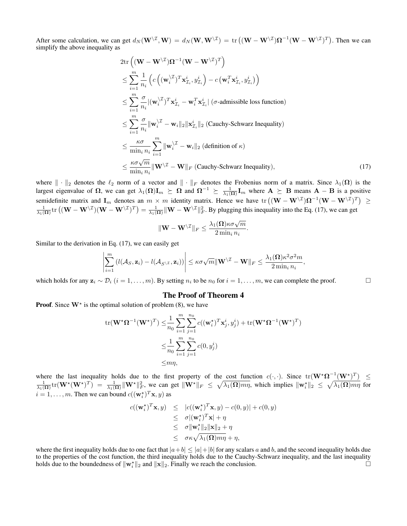After some calculation, we can get  $d_N(\mathbf{W}^{\setminus \mathcal{I}}, \mathbf{W}) = d_N(\mathbf{W}, \mathbf{W}^{\setminus \mathcal{I}}) = \text{tr}((\mathbf{W} - \mathbf{W}^{\setminus \mathcal{I}})\mathbf{\Omega}^{-1}(\mathbf{W} - \mathbf{W}^{\setminus \mathcal{I}})^T)$ . Then we can simplify the above inequality as

$$
2\text{tr}\left((\mathbf{W} - \mathbf{W}^{\setminus\mathcal{I}})\mathbf{\Omega}^{-1}(\mathbf{W} - \mathbf{W}^{\setminus\mathcal{I}})^{T}\right)
$$
\n
$$
\leq \sum_{i=1}^{m} \frac{1}{n_{i}} \left(c\left((\mathbf{w}_{i}^{\setminus\mathcal{I}})^{T}\mathbf{x}_{\mathcal{I}_{i}}^{i}, y_{\mathcal{I}_{i}}^{i}\right) - c\left(\mathbf{w}_{i}^{T}\mathbf{x}_{\mathcal{I}_{i}}^{i}, y_{\mathcal{I}_{i}}^{i}\right)\right)
$$
\n
$$
\leq \sum_{i=1}^{m} \frac{\sigma}{n_{i}} |(\mathbf{w}_{i}^{\setminus\mathcal{I}})^{T}\mathbf{x}_{\mathcal{I}_{i}}^{i} - \mathbf{w}_{i}^{T}\mathbf{x}_{\mathcal{I}_{i}}^{i}| \left(\sigma\text{-admissible loss function}\right)
$$
\n
$$
\leq \sum_{i=1}^{m} \frac{\sigma}{n_{i}} ||\mathbf{w}_{i}^{\setminus\mathcal{I}} - \mathbf{w}_{i}||_{2} ||\mathbf{x}_{\mathcal{I}_{i}}^{i}||_{2} \text{ (Cauchy-Schwarz Inequality)}
$$
\n
$$
\leq \frac{\kappa\sigma}{\min_{i} n_{i}} \sum_{i=1}^{m} ||\mathbf{w}_{i}^{\setminus\mathcal{I}} - \mathbf{w}_{i}||_{2} \text{ (definition of } \kappa)
$$
\n
$$
\leq \frac{\kappa\sigma\sqrt{m}}{\min_{i} n_{i}} ||\mathbf{W}^{\setminus\mathcal{I}} - \mathbf{W}||_{F} \text{ (Cauchy-Schwarz Inequality)}, \tag{17}
$$

where  $\|\cdot\|_2$  denotes the  $\ell_2$  norm of a vector and  $\|\cdot\|_F$  denotes the Frobenius norm of a matrix. Since  $\lambda_1(\Omega)$  is the largest eigenvalue of  $\Omega$ , we can get  $\lambda_1(\Omega)I_m \succeq \Omega$  and  $\Omega^{-1} \succeq \frac{1}{\lambda_1(\Omega)}I_m$  where  $A \succeq B$  means  $A - B$  is a positive semidefinite matrix and  $I_m$  denotes an  $m \times m$  identity matrix. Hence we have  $\text{tr} \left( (\mathbf{W} - \mathbf{W}^{\setminus \mathcal{I}}) \mathbf{\Omega}^{-1} (\mathbf{W} - \mathbf{W}^{\setminus \mathcal{I}})^T \right) \geq$  $\frac{1}{\lambda_1(\Omega)}$ tr  $((\mathbf{W}-\mathbf{W}^{\setminus\mathcal{I}})(\mathbf{W}-\mathbf{W}^{\setminus\mathcal{I}})^T) = \frac{1}{\lambda_1(\Omega)} ||\mathbf{W}-\mathbf{W}^{\setminus\mathcal{I}}||_F^2$ . By plugging this inequality into the Eq. (17), we can get

$$
\|\mathbf{W} - \mathbf{W}^{\setminus \mathcal{I}}\|_F \leq \frac{\lambda_1(\mathbf{\Omega})\kappa \sigma \sqrt{m}}{2 \min_i n_i}.
$$

Similar to the derivation in Eq. (17), we can easily get

$$
\left|\sum_{i=1}^m \left(l(\mathcal{A}_S, \mathbf{z}_i) - l(\mathcal{A}_{S \setminus \mathcal{I}}, \mathbf{z}_i)\right)\right| \leq \kappa \sigma \sqrt{m} \|\mathbf{W}^{\setminus \mathcal{I}} - \mathbf{W}\|_F \leq \frac{\lambda_1(\mathbf{\Omega}) \kappa^2 \sigma^2 m}{2 \min_i n_i},
$$

which holds for any  $\mathbf{z}_i \sim \mathcal{D}_i$   $(i = 1, \ldots, m)$ . By setting  $n_i$  to be  $n_0$  for  $i = 1, \ldots, m$ , we can complete the proof.

## The Proof of Theorem 4

**Proof.** Since  $W^*$  is the optimal solution of problem (8), we have

$$
\operatorname{tr}(\mathbf{W}^{\star}\boldsymbol{\Omega}^{-1}(\mathbf{W}^{\star})^{T}) \leq \frac{1}{n_{0}} \sum_{i=1}^{m} \sum_{j=1}^{n_{0}} c((\mathbf{w}_{i}^{\star})^{T}\mathbf{x}_{j}^{i}, y_{j}^{i}) + \operatorname{tr}(\mathbf{W}^{\star}\boldsymbol{\Omega}^{-1}(\mathbf{W}^{\star})^{T})
$$
  

$$
\leq \frac{1}{n_{0}} \sum_{i=1}^{m} \sum_{j=1}^{n_{0}} c(0, y_{j}^{i})
$$
  

$$
\leq m\eta,
$$

where the last inequality holds due to the first property of the cost function  $c(\cdot,\cdot)$ . Since  $tr(\mathbf{W}^{\star}\Omega^{-1}(\mathbf{W}^{\star})^T) \leq$  $\frac{1}{\lambda_1(\Omega)}\text{tr}(\mathbf{W}^{\star}(\mathbf{W}^{\star})^T) = \frac{1}{\lambda_1(\Omega)}\|\mathbf{W}^{\star}\|_F^2$ , we can get  $\|\mathbf{W}^{\star}\|_F \leq \sqrt{\lambda_1(\Omega)m\eta}$ , which implies  $\|\mathbf{w}_i^{\star}\|_2 \leq \sqrt{\lambda_1(\Omega)m\eta}$  for  $i = 1, \dots, m$ . Then we can bound  $c((\mathbf{w}_i^{\star})^T \mathbf{x}, y)$  as

$$
c((\mathbf{w}_i^*)^T \mathbf{x}, y) \leq |c((\mathbf{w}_i^*)^T \mathbf{x}, y) - c(0, y)| + c(0, y)
$$
  
\n
$$
\leq \sigma |(\mathbf{w}_i^*)^T \mathbf{x}| + \eta
$$
  
\n
$$
\leq \sigma ||\mathbf{w}_i^*||_2 ||\mathbf{x}||_2 + \eta
$$
  
\n
$$
\leq \sigma \kappa \sqrt{\lambda_1(\Omega) m \eta} + \eta,
$$

where the first inequality holds due to one fact that  $|a+b| \leq |a|+|b|$  for any scalars a and b, and the second inequality holds due to the properties of the cost function, the third inequality holds due to the Cauchy-Schwarz inequality, and the last inequality holds due to the boundedness of  $\|\mathbf{w}_i^*\|_2$  and  $\|\mathbf{x}\|_2$ . Finally we reach the conclusion.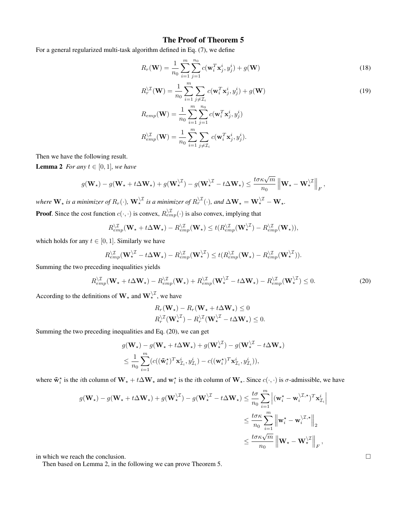## The Proof of Theorem 5

For a general regularized multi-task algorithm defined in Eq. (7), we define

$$
R_r(\mathbf{W}) = \frac{1}{n_0} \sum_{i=1}^{m} \sum_{j=1}^{n_0} c(\mathbf{w}_i^T \mathbf{x}_j^i, y_j^i) + g(\mathbf{W})
$$
\n(18)

$$
R_r^{\setminus \mathcal{I}}(\mathbf{W}) = \frac{1}{n_0} \sum_{i=1}^m \sum_{j \neq \mathcal{I}_i} c(\mathbf{w}_i^T \mathbf{x}_j^i, y_j^i) + g(\mathbf{W})
$$
  
\n
$$
R_{emp}(\mathbf{W}) = \frac{1}{n_0} \sum_{i=1}^m \sum_{j=1}^{n_0} c(\mathbf{w}_i^T \mathbf{x}_j^i, y_j^i)
$$
  
\n
$$
R_{emp}^{\setminus \mathcal{I}}(\mathbf{W}) = \frac{1}{n_0} \sum_{i=1}^m \sum_{j \neq \mathcal{I}_i} c(\mathbf{w}_i^T \mathbf{x}_j^i, y_j^i).
$$
\n(19)

Then we have the following result.

**Lemma 2** *For any*  $t \in [0, 1]$ *, we have* 

$$
g(\mathbf{W}_\star) - g(\mathbf{W}_\star + t\Delta\mathbf{W}_\star) + g(\mathbf{W}_\star^{\backslash \mathcal{I}}) - g(\mathbf{W}_\star^{\backslash \mathcal{I}} - t\Delta\mathbf{W}_\star) \leq \frac{t\sigma\kappa\sqrt{m}}{n_0} \left\| \mathbf{W}_\star - \mathbf{W}_\star^{\backslash \mathcal{I}} \right\|_F,
$$

where  $\bf{W}_\star$  is a minimizer of  $R_r(\cdot)$ ,  $\bf{W}_\star^{ \backslash \mathcal{I}}$  is a minimizer of  $R_r^{ \backslash \mathcal{I}}(\cdot)$ , and  $\Delta \bf{W}_\star = \bf{W}_\star^{ \backslash \mathcal{I}} - \bf{W}_\star$ . **Proof.** Since the cost function  $c(\cdot, \cdot)$  is convex,  $R_{emp}^{\setminus \mathcal{I}}(\cdot)$  is also convex, implying that

$$
R_{emp}^{\setminus \mathcal{I}}(\mathbf{W}_\star + t\Delta \mathbf{W}_\star) - R_{emp}^{\setminus \mathcal{I}}(\mathbf{W}_\star) \leq t(R_{emp}^{\setminus \mathcal{I}}(\mathbf{W}_\star^{\setminus \mathcal{I}}) - R_{emp}^{\setminus \mathcal{I}}(\mathbf{W}_\star)),
$$

which holds for any  $t \in [0, 1]$ . Similarly we have

$$
R_{emp}^{\setminus \mathcal{I}}(\mathbf{W}_{\star}^{\setminus \mathcal{I}} - t\Delta \mathbf{W}_{\star}) - R_{emp}^{\setminus \mathcal{I}}(\mathbf{W}_{\star}^{\setminus \mathcal{I}}) \leq t(R_{emp}^{\setminus \mathcal{I}}(\mathbf{W}_{\star}) - R_{emp}^{\setminus \mathcal{I}}(\mathbf{W}_{\star}^{\setminus \mathcal{I}})).
$$

Summing the two preceding inequalities yields

$$
R_{emp}^{\setminus \mathcal{I}}(\mathbf{W}_{\star} + t\Delta \mathbf{W}_{\star}) - R_{emp}^{\setminus \mathcal{I}}(\mathbf{W}_{\star}) + R_{emp}^{\setminus \mathcal{I}}(\mathbf{W}_{\star}^{\setminus \mathcal{I}} - t\Delta \mathbf{W}_{\star}) - R_{emp}^{\setminus \mathcal{I}}(\mathbf{W}_{\star}^{\setminus \mathcal{I}}) \leq 0. \tag{20}
$$

According to the definitions of  $\mathbf{W}_{\star}$  and  $\mathbf{W}_{\star}^{\setminus \mathcal{I}}$ , we have

$$
R_r(\mathbf{W}_\star) - R_r(\mathbf{W}_\star + t\Delta \mathbf{W}_\star) \le 0
$$
  

$$
R_r^{\setminus \mathcal{I}}(\mathbf{W}_\star^{\setminus \mathcal{I}}) - R_r^{\setminus \mathcal{I}}(\mathbf{W}_\star^{\setminus \mathcal{I}} - t\Delta \mathbf{W}_\star) \le 0.
$$

Summing the two preceding inequalities and Eq. (20), we can get

$$
g(\mathbf{W}_{\star}) - g(\mathbf{W}_{\star} + t\Delta \mathbf{W}_{\star}) + g(\mathbf{W}_{\star}^{\setminus \mathcal{I}}) - g(\mathbf{W}_{\star}^{\setminus \mathcal{I}} - t\Delta \mathbf{W}_{\star})
$$
  

$$
\leq \frac{1}{n_0} \sum_{i=1}^{m} (c((\tilde{\mathbf{w}}_{i}^{\star})^T \mathbf{x}_{\mathcal{I}_i}^{i}, y_{\mathcal{I}_i}^{i}) - c((\mathbf{w}_{i}^{\star})^T \mathbf{x}_{\mathcal{I}_i}^{i}, y_{\mathcal{I}_i}^{i})),
$$

where  $\tilde{\mathbf{w}}_i^*$  is the *i*th column of  $\mathbf{W}_\star + t\Delta \mathbf{W}_\star$  and  $\mathbf{w}_i^*$  is the *i*th column of  $\mathbf{W}_\star$ . Since  $c(\cdot, \cdot)$  is  $\sigma$ -admissible, we have

$$
\begin{split} g(\mathbf{W}_\star) - g(\mathbf{W}_\star + t\Delta\mathbf{W}_\star) + g(\mathbf{W}_\star^{\backslash \mathcal{I}}) - g(\mathbf{W}_\star^{\backslash \mathcal{I}} - t\Delta\mathbf{W}_\star) &\leq \frac{t\sigma}{n_0} \sum_{i=1}^m \left| (\mathbf{w}_i^\star - \mathbf{w}_i^{\backslash \mathcal{I},\star})^T \mathbf{x}_{\mathcal{I}_i}^i \right| \\ &\leq \frac{t\sigma\kappa}{n_0} \sum_{i=1}^m \left\| \mathbf{w}_i^\star - \mathbf{w}_i^{\backslash \mathcal{I},\star} \right\|_2 \\ &\leq \frac{t\sigma\kappa\sqrt{m}}{n_0} \left\| \mathbf{W}_\star - \mathbf{W}_\star^{\backslash \mathcal{I}} \right\|_F, \end{split}
$$

in which we reach the conclusion.

Then based on Lemma 2, in the following we can prove Theorem 5.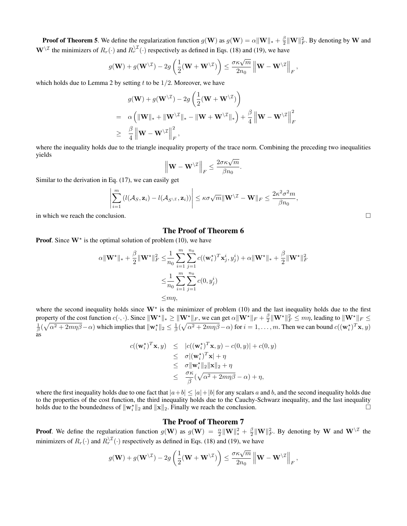**Proof of Theorem 5**. We define the regularization function  $g(\mathbf{W})$  as  $g(\mathbf{W}) = \alpha ||\mathbf{W}||_* + \frac{\beta}{2} ||\mathbf{W}||_F^2$ . By denoting by W and  $W^{\setminus \mathcal{I}}$  the minimizers of  $R_r(\cdot)$  and  $R_r^{\setminus \mathcal{I}}(\cdot)$  respectively as defined in Eqs. (18) and (19), we have

$$
g(\mathbf{W}) + g(\mathbf{W}^{\backslash \mathcal{I}}) - 2g\left(\frac{1}{2}(\mathbf{W} + \mathbf{W}^{\backslash \mathcal{I}})\right) \leq \frac{\sigma \kappa \sqrt{m}}{2n_0}\left\|\mathbf{W} - \mathbf{W}^{\backslash \mathcal{I}}\right\|_F,
$$

which holds due to Lemma 2 by setting  $t$  to be  $1/2$ . Moreover, we have

$$
g(\mathbf{W}) + g(\mathbf{W}^{\setminus \mathcal{I}}) - 2g\left(\frac{1}{2}(\mathbf{W} + \mathbf{W}^{\setminus \mathcal{I}})\right)
$$
  
=  $\alpha \left( \|\mathbf{W}\|_{*} + \|\mathbf{W}^{\setminus \mathcal{I}}\|_{*} - \|\mathbf{W} + \mathbf{W}^{\setminus \mathcal{I}}\|_{*} \right) + \frac{\beta}{4} \left\| \mathbf{W} - \mathbf{W}^{\setminus \mathcal{I}} \right\|_{F}^{2}$   
 $\geq \frac{\beta}{4} \left\| \mathbf{W} - \mathbf{W}^{\setminus \mathcal{I}} \right\|_{F}^{2},$ 

where the inequality holds due to the triangle inequality property of the trace norm. Combining the preceding two inequalities yields

$$
\left\|\mathbf{W} - \mathbf{W}^{\setminus \mathcal{I}}\right\|_F \le \frac{2\sigma\kappa\sqrt{m}}{\beta n_0}.
$$

Similar to the derivation in Eq. (17), we can easily get

$$
\left|\sum_{i=1}^m \left(l(\mathcal{A}_S, \mathbf{z}_i) - l(\mathcal{A}_{S^{\setminus \mathcal{I}}}, \mathbf{z}_i)\right)\right| \leq \kappa \sigma \sqrt{m} \|\mathbf{W}^{\setminus \mathcal{I}} - \mathbf{W}\|_F \leq \frac{2\kappa^2 \sigma^2 m}{\beta n_0},
$$

in which we reach the conclusion.  $\Box$ 

## The Proof of Theorem 6

**Proof.** Since  $W^*$  is the optimal solution of problem (10), we have

$$
\alpha \|\mathbf{W}^{\star}\|_{*} + \frac{\beta}{2} \|\mathbf{W}^{\star}\|_{F}^{2} \leq \frac{1}{n_{0}} \sum_{i=1}^{m} \sum_{j=1}^{n_{0}} c((\mathbf{w}_{i}^{\star})^{T} \mathbf{x}_{j}^{i}, y_{j}^{i}) + \alpha \|\mathbf{W}^{\star}\|_{*} + \frac{\beta}{2} \|\mathbf{W}^{\star}\|_{F}^{2}
$$

$$
\leq \frac{1}{n_{0}} \sum_{i=1}^{m} \sum_{j=1}^{n_{0}} c(0, y_{j}^{i})
$$

$$
\leq m\eta,
$$

where the second inequality holds since  $W^*$  is the minimizer of problem (10) and the last inequality holds due to the first property of the cost function  $c(\cdot, \cdot)$ . Since  $\|\mathbf{W}^{\star}\|_{*} \ge \|\mathbf{W}^{\star}\|_{F}$ , we can get  $\alpha \|\mathbf{W}^{\star}\|_{F} + \frac{\beta}{2} \|\mathbf{W}^{\star}\|_{F} \le m\eta$ , leading to  $\|\mathbf{W}^{\star}\|_{F} \le \frac{1}{\beta}(\sqrt{\alpha^{2} + 2m\eta\beta} - \alpha)$  which implies that as

$$
c((\mathbf{w}_i^{\star})^T \mathbf{x}, y) \leq |c((\mathbf{w}_i^{\star})^T \mathbf{x}, y) - c(0, y)| + c(0, y)
$$
  
\n
$$
\leq \sigma |(\mathbf{w}_i^{\star})^T \mathbf{x}| + \eta
$$
  
\n
$$
\leq \sigma ||\mathbf{w}_i^{\star}||_2 ||\mathbf{x}||_2 + \eta
$$
  
\n
$$
\leq \frac{\sigma \kappa}{\beta} (\sqrt{\alpha^2 + 2m\eta \beta} - \alpha) + \eta,
$$

where the first inequality holds due to one fact that  $|a+b| \leq |a|+|b|$  for any scalars a and b, and the second inequality holds due to the properties of the cost function, the third inequality holds due to the Cauchy-Schwarz inequality, and the last inequality holds due to the boundedness of  $\|\mathbf{w}_i^*\|_2$  and  $\|\mathbf{x}\|_2$ . Finally we reach the conclusion.

#### The Proof of Theorem 7

**Proof.** We define the regularization function  $g(\mathbf{W})$  as  $g(\mathbf{W}) = \frac{\alpha}{2} \|\mathbf{W}\|_{*}^{2} + \frac{\beta}{2} \|\mathbf{W}\|_{F}^{2}$ . By denoting by W and  $\mathbf{W}^{\setminus \mathcal{I}}$  the minimizers of  $R_r(\cdot)$  and  $R_r^{\setminus \mathcal{I}}(\cdot)$  respectively as defined in Eqs. (18) and (19), we have

$$
g(\mathbf{W}) + g(\mathbf{W}^{\setminus \mathcal{I}}) - 2g\left(\frac{1}{2}(\mathbf{W} + \mathbf{W}^{\setminus \mathcal{I}})\right) \leq \frac{\sigma \kappa \sqrt{m}}{2n_0} \left\|\mathbf{W} - \mathbf{W}^{\setminus \mathcal{I}}\right\|_F,
$$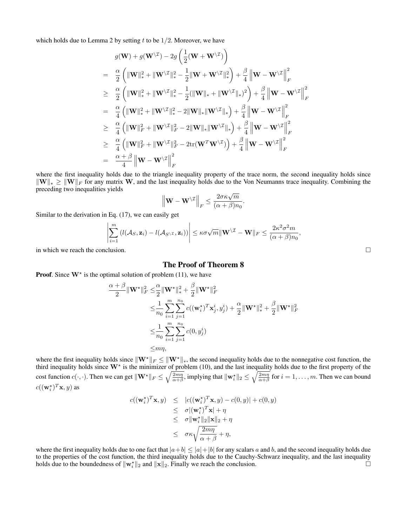which holds due to Lemma 2 by setting  $t$  to be  $1/2$ . Moreover, we have

$$
g(\mathbf{W}) + g(\mathbf{W}^{\setminus \mathcal{I}}) - 2g\left(\frac{1}{2}(\mathbf{W} + \mathbf{W}^{\setminus \mathcal{I}})\right)
$$
  
\n
$$
= \frac{\alpha}{2} \left( \|\mathbf{W}\|_{*}^{2} + \|\mathbf{W}^{\setminus \mathcal{I}}\|_{*}^{2} - \frac{1}{2}\|\mathbf{W} + \mathbf{W}^{\setminus \mathcal{I}}\|_{*}^{2} \right) + \frac{\beta}{4} \left\|\mathbf{W} - \mathbf{W}^{\setminus \mathcal{I}}\right\|_{F}^{2}
$$
  
\n
$$
\geq \frac{\alpha}{2} \left( \|\mathbf{W}\|_{*}^{2} + \|\mathbf{W}^{\setminus \mathcal{I}}\|_{*}^{2} - \frac{1}{2}(\|\mathbf{W}\|_{*} + \|\mathbf{W}^{\setminus \mathcal{I}}\|_{*})^{2} \right) + \frac{\beta}{4} \left\|\mathbf{W} - \mathbf{W}^{\setminus \mathcal{I}}\right\|_{F}^{2}
$$
  
\n
$$
= \frac{\alpha}{4} \left( \|\mathbf{W}\|_{*}^{2} + \|\mathbf{W}^{\setminus \mathcal{I}}\|_{*}^{2} - 2\|\mathbf{W}\|_{*}\|\mathbf{W}^{\setminus \mathcal{I}}\|_{*} \right) + \frac{\beta}{4} \left\|\mathbf{W} - \mathbf{W}^{\setminus \mathcal{I}}\right\|_{F}^{2}
$$
  
\n
$$
\geq \frac{\alpha}{4} \left( \|\mathbf{W}\|_{F}^{2} + \|\mathbf{W}^{\setminus \mathcal{I}}\|_{F}^{2} - 2\|\mathbf{W}\|_{*}\|\mathbf{W}^{\setminus \mathcal{I}}\|_{*} \right) + \frac{\beta}{4} \left\|\mathbf{W} - \mathbf{W}^{\setminus \mathcal{I}}\right\|_{F}^{2}
$$
  
\n
$$
\geq \frac{\alpha}{4} \left( \|\mathbf{W}\|_{F}^{2} + \|\mathbf{W}^{\setminus \mathcal{I}}\|_{F}^{2} - 2\text{tr}(\mathbf{W}^{T}\mathbf{W}^{\setminus \mathcal{I}}) \right) + \frac
$$

where the first inequality holds due to the triangle inequality property of the trace norm, the second inequality holds since  $\|\mathbf{W}\|_{*} \geq \|\mathbf{W}\|_{F}$  for any matrix W, and the last inequality holds due to the Von Neumanns trace inequality. Combining the preceding two inequalities yields

$$
\left\|\mathbf{W} - \mathbf{W}^{\setminus \mathcal{I}}\right\|_F \le \frac{2\sigma\kappa\sqrt{m}}{(\alpha+\beta)n_0}.
$$

Similar to the derivation in Eq. (17), we can easily get

$$
\left|\sum_{i=1}^m \left(l(\mathcal{A}_S,\mathbf{z}_i)-l(\mathcal{A}_{S\setminus\mathcal{I}},\mathbf{z}_i)\right)\right|\leq \kappa\sigma\sqrt{m}\|\mathbf{W}\setminus\mathcal{I}-\mathbf{W}\|_F\leq \frac{2\kappa^2\sigma^2m}{(\alpha+\beta)n_0},
$$

in which we reach the conclusion.  $\Box$ 

#### The Proof of Theorem 8

**Proof.** Since  $W^*$  is the optimal solution of problem (11), we have

$$
\frac{\alpha + \beta}{2} \|\mathbf{W}^{\star}\|_{F}^{2} \leq \frac{\alpha}{2} \|\mathbf{W}^{\star}\|_{*}^{2} + \frac{\beta}{2} \|\mathbf{W}^{\star}\|_{F}^{2}
$$
\n
$$
\leq \frac{1}{n_{0}} \sum_{i=1}^{m} \sum_{j=1}^{n_{0}} c((\mathbf{w}_{i}^{\star})^{T} \mathbf{x}_{j}^{i}, y_{j}^{i}) + \frac{\alpha}{2} \|\mathbf{W}^{\star}\|_{*}^{2} + \frac{\beta}{2} \|\mathbf{W}^{\star}\|_{F}^{2}
$$
\n
$$
\leq \frac{1}{n_{0}} \sum_{i=1}^{m} \sum_{j=1}^{n_{0}} c(0, y_{j}^{i})
$$
\n
$$
\leq m\eta,
$$

where the first inequality holds since  $\|\mathbf{W}^*\|_F \le \|\mathbf{W}^*\|_*$ , the second inequality holds due to the nonnegative cost function, the third inequality holds since  $W^*$  is the minimizer of problem (10), and the last inequality holds due to the first property of the cost function  $c(\cdot, \cdot)$ . Then we can get  $\|\mathbf{W}^{\star}\|_{F} \leq \sqrt{\frac{2m\eta}{\alpha+\beta}}$ , implying that  $\|\mathbf{w}_{i}^{\star}\|_{2} \leq \sqrt{\frac{2m\eta}{\alpha+\beta}}$  for  $i = 1, ..., m$ . Then we can bound  $c((\mathbf{w}_i^{\star})^T\mathbf{x}, y)$  as

$$
c((\mathbf{w}_i^*)^T \mathbf{x}, y) \leq |c((\mathbf{w}_i^*)^T \mathbf{x}, y) - c(0, y)| + c(0, y)
$$
  
\n
$$
\leq \sigma |(\mathbf{w}_i^*)^T \mathbf{x}| + \eta
$$
  
\n
$$
\leq \sigma ||\mathbf{w}_i^*||_2 ||\mathbf{x}||_2 + \eta
$$
  
\n
$$
\leq \sigma \kappa \sqrt{\frac{2m\eta}{\alpha + \beta}} + \eta,
$$

where the first inequality holds due to one fact that  $|a+b| \leq |a|+|b|$  for any scalars a and b, and the second inequality holds due to the properties of the cost function, the third inequality holds due to the Cauchy-Schwarz inequality, and the last inequality holds due to the boundedness of  $\|\mathbf{w}_i^*\|_2$  and  $\|\mathbf{x}\|_2$ . Finally we reach the conclusion.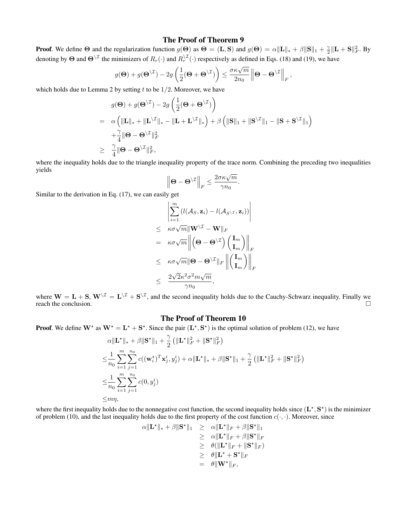#### The Proof of Theorem 9

**Proof.** We define  $\Theta$  and the regularization function  $g(\Theta)$  as  $\Theta = (\mathbf{L}, \mathbf{S})$  and  $g(\Theta) = \alpha \|\mathbf{L}\|_* + \beta \|\mathbf{S}\|_1 + \frac{\gamma}{2} \|\mathbf{L} + \mathbf{S}\|_F^2$ . By denoting by  $\Theta$  and  $\Theta^{\setminus \mathcal{I}}$  the minimizers of  $R_r(\cdot)$  and  $R_r^{\setminus \mathcal{I}}(\cdot)$  respectively as defined in Eqs. (18) and (19), we have

$$
g(\Theta) + g(\Theta^{\setminus \mathcal{I}}) - 2g\left(\frac{1}{2}(\Theta + \Theta^{\setminus \mathcal{I}})\right) \leq \frac{\sigma \kappa \sqrt{m}}{2n_0} \left\|\Theta - \Theta^{\setminus \mathcal{I}}\right\|_F,
$$

which holds due to Lemma 2 by setting  $t$  to be  $1/2$ . Moreover, we have

$$
g(\mathbf{\Theta}) + g(\mathbf{\Theta}^{\setminus \mathcal{I}}) - 2g\left(\frac{1}{2}(\mathbf{\Theta} + \mathbf{\Theta}^{\setminus \mathcal{I}})\right)
$$
  
=  $\alpha \left( \|\mathbf{L}\|_{*} + \|\mathbf{L}^{\setminus \mathcal{I}}\|_{*} - \|\mathbf{L} + \mathbf{L}^{\setminus \mathcal{I}}\|_{*} \right) + \beta \left( \|\mathbf{S}\|_{1} + \|\mathbf{S}^{\setminus \mathcal{I}}\|_{1} - \|\mathbf{S} + \mathbf{S}^{\setminus \mathcal{I}}\|_{1} \right)$   
+  $\frac{\gamma}{4} \|\mathbf{\Theta} - \mathbf{\Theta}^{\setminus \mathcal{I}}\|_{F}^{2}$   
 $\geq \frac{\gamma}{4} \|\mathbf{\Theta} - \mathbf{\Theta}^{\setminus \mathcal{I}}\|_{F}^{2},$ 

where the inequality holds due to the triangle inequality property of the trace norm. Combining the preceding two inequalities yields

$$
\left\|\mathbf{\Theta}-\mathbf{\Theta}^{\backslash \mathcal{I}}\right\|_F \leq \frac{2\sigma\kappa\sqrt{m}}{\gamma n_0}.
$$

Similar to the derivation in Eq. (17), we can easily get

$$
\left| \sum_{i=1}^{m} \left( l(\mathcal{A}_{S}, \mathbf{z}_{i}) - l(\mathcal{A}_{S \setminus \mathcal{I}}, \mathbf{z}_{i}) \right) \right|
$$
  
\n
$$
\leq \kappa \sigma \sqrt{m} \|\mathbf{W}^{\setminus \mathcal{I}} - \mathbf{W} \|_{F}
$$
  
\n
$$
= \kappa \sigma \sqrt{m} \left\| \left( \mathbf{\Theta} - \mathbf{\Theta}^{\setminus \mathcal{I}} \right) \left( \mathbf{I}_{m} \right) \right\|_{F}
$$
  
\n
$$
\leq \kappa \sigma \sqrt{m} \|\mathbf{\Theta} - \mathbf{\Theta}^{\setminus \mathcal{I}} \|_{F} \left\| \left( \mathbf{I}_{m} \right) \right\|_{F}
$$
  
\n
$$
\leq \frac{2\sqrt{2} \kappa^{2} \sigma^{2} m \sqrt{m}}{\gamma n_{0}},
$$

where  $W = L + S$ ,  $W^{\setminus \mathcal{I}} = L^{\setminus \mathcal{I}} + S^{\setminus \mathcal{I}}$ , and the second inequality holds due to the Cauchy-Schwarz inequality. Finally we reach the conclusion.  $\Box$ 

#### The Proof of Theorem 10

**Proof.** We define  $W^*$  as  $W^* = L^* + S^*$ . Since the pair  $(L^*, S^*)$  is the optimal solution of problem (12), we have

$$
\alpha \|\mathbf{L}^{\star}\|_{*} + \beta \|\mathbf{S}^{\star}\|_{1} + \frac{\gamma}{2} \left( \|\mathbf{L}^{\star}\|_{F}^{2} + \|\mathbf{S}^{\star}\|_{F}^{2} \right)
$$
\n
$$
\leq \frac{1}{n_{0}} \sum_{i=1}^{m} \sum_{j=1}^{n_{0}} c((\mathbf{w}_{i}^{\star})^{T} \mathbf{x}_{j}^{i}, y_{j}^{i}) + \alpha \|\mathbf{L}^{\star}\|_{*} + \beta \|\mathbf{S}^{\star}\|_{1} + \frac{\gamma}{2} \left( \|\mathbf{L}^{\star}\|_{F}^{2} + \|\mathbf{S}^{\star}\|_{F}^{2} \right)
$$
\n
$$
\leq \frac{1}{n_{0}} \sum_{i=1}^{m} \sum_{j=1}^{n_{0}} c(0, y_{j}^{i})
$$
\n
$$
\leq m\eta,
$$

where the first inequality holds due to the nonnegative cost function, the second inequality holds since  $(L^*, S^*)$  is the minimizer of problem (10), and the last inequality holds due to the first property of the cost function  $c(\cdot, \cdot)$ . Moreover, since

$$
\alpha \|\mathbf{L}^{\star}\|_{*} + \beta \|\mathbf{S}^{\star}\|_{1} \geq \alpha \|\mathbf{L}^{\star}\|_{F} + \beta \|\mathbf{S}^{\star}\|_{1} \geq \alpha \|\mathbf{L}^{\star}\|_{F} + \beta \|\mathbf{S}^{\star}\|_{F} \geq \theta (\|\mathbf{L}^{\star}\|_{F} + \|\mathbf{S}^{\star}\|_{F}) \geq \theta \|\mathbf{L}^{\star} + \mathbf{S}^{\star}\|_{F} = \theta \|\mathbf{W}^{\star}\|_{F},
$$